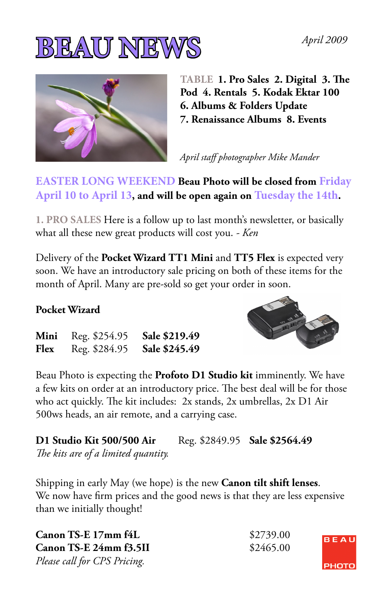



**TABLE 1. Pro Sales 2. Digital 3. The Pod 4. Rentals 5. Kodak Ektar 100 6. Albums & Folders Update 7. Renaissance Albums 8. Events** 

*April staff photographer Mike Mander*

**EASTER LONG WEEKEND Beau Photo will be closed from Friday April 10 to April 13, and will be open again on Tuesday the 14th.** 

**1. PRO SALES** Here is a follow up to last month's newsletter, or basically what all these new great products will cost you. *- Ken*

Delivery of the **Pocket Wizard TT1 Mini** and **TT5 Flex** is expected very soon. We have an introductory sale pricing on both of these items for the month of April. Many are pre-sold so get your order in soon.

### **Pocket Wizard**



Beau Photo is expecting the **Profoto D1 Studio kit** imminently. We have a few kits on order at an introductory price. The best deal will be for those who act quickly. The kit includes: 2x stands, 2x umbrellas, 2x D1 Air 500ws heads, an air remote, and a carrying case.

**D1 Studio Kit 500/500 Air** Reg. \$2849.95 **Sale \$2564.49** *The kits are of a limited quantity.*

Shipping in early May (we hope) is the new **Canon tilt shift lenses**. We now have firm prices and the good news is that they are less expensive than we initially thought!

| Canon TS-E 17mm f4L          | \$2739.00 | BEA         |
|------------------------------|-----------|-------------|
| Canon TS-E 24mm f3.5II       | \$2465.00 |             |
| Please call for CPS Pricing. |           | <b>PHOT</b> |

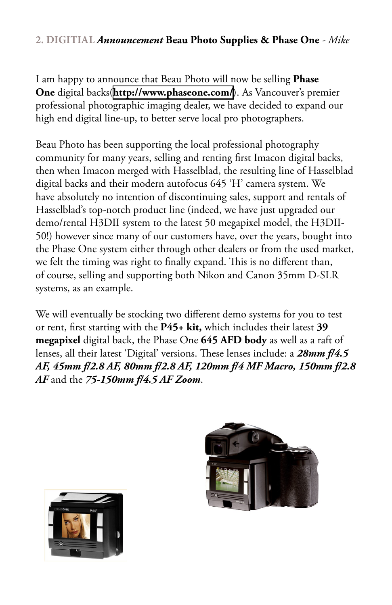### **2. DIGITIAL** *Announcement* **Beau Photo Supplies & Phase One** *- Mike*

I am happy to announce that Beau Photo will now be selling **Phase One** digital backs(**<http://www.phaseone.com/>**). As Vancouver's premier professional photographic imaging dealer, we have decided to expand our high end digital line-up, to better serve local pro photographers.

Beau Photo has been supporting the local professional photography community for many years, selling and renting first Imacon digital backs, then when Imacon merged with Hasselblad, the resulting line of Hasselblad digital backs and their modern autofocus 645 'H' camera system. We have absolutely no intention of discontinuing sales, support and rentals of Hasselblad's top-notch product line (indeed, we have just upgraded our demo/rental H3DII system to the latest 50 megapixel model, the H3DII-50!) however since many of our customers have, over the years, bought into the Phase One system either through other dealers or from the used market, we felt the timing was right to finally expand. This is no different than, of course, selling and supporting both Nikon and Canon 35mm D-SLR systems, as an example.

We will eventually be stocking two different demo systems for you to test or rent, first starting with the **P45+ kit,** which includes their latest **39 megapixel** digital back, the Phase One **645 AFD body** as well as a raft of lenses, all their latest 'Digital' versions. These lenses include: a *28mm f/4.5 AF, 45mm f/2.8 AF, 80mm f/2.8 AF, 120mm f/4 MF Macro, 150mm f/2.8 AF* and the *75-150mm f/4.5 AF Zoom*.



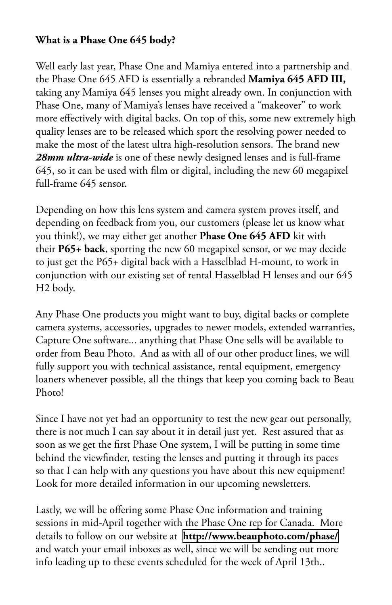### **What is a Phase One 645 body?**

Well early last year, Phase One and Mamiya entered into a partnership and the Phase One 645 AFD is essentially a rebranded **Mamiya 645 AFD III,** taking any Mamiya 645 lenses you might already own. In conjunction with Phase One, many of Mamiya's lenses have received a "makeover" to work more effectively with digital backs. On top of this, some new extremely high quality lenses are to be released which sport the resolving power needed to make the most of the latest ultra high-resolution sensors. The brand new *28mm ultra-wide* is one of these newly designed lenses and is full-frame 645, so it can be used with film or digital, including the new 60 megapixel full-frame 645 sensor.

Depending on how this lens system and camera system proves itself, and depending on feedback from you, our customers (please let us know what you think!), we may either get another **Phase One 645 AFD** kit with their **P65+ back**, sporting the new 60 megapixel sensor, or we may decide to just get the P65+ digital back with a Hasselblad H-mount, to work in conjunction with our existing set of rental Hasselblad H lenses and our 645 H2 body.

Any Phase One products you might want to buy, digital backs or complete camera systems, accessories, upgrades to newer models, extended warranties, Capture One software... anything that Phase One sells will be available to order from Beau Photo. And as with all of our other product lines, we will fully support you with technical assistance, rental equipment, emergency loaners whenever possible, all the things that keep you coming back to Beau Photo!

Since I have not yet had an opportunity to test the new gear out personally, there is not much I can say about it in detail just yet. Rest assured that as soon as we get the first Phase One system, I will be putting in some time behind the viewfinder, testing the lenses and putting it through its paces so that I can help with any questions you have about this new equipment! Look for more detailed information in our upcoming newsletters.

Lastly, we will be offering some Phase One information and training sessions in mid-April together with the Phase One rep for Canada. More details to follow on our website at **<http://www.beauphoto.com/phase/>** and watch your email inboxes as well, since we will be sending out more info leading up to these events scheduled for the week of April 13th..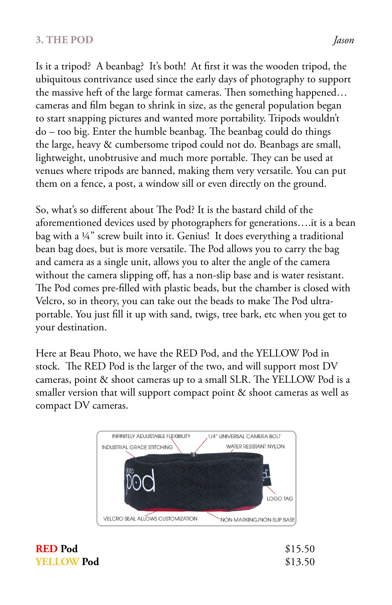#### **3. THE POD** *<i>Jason*

Is it a tripod? A beanbag? It's both! At first it was the wooden tripod, the ubiquitous contrivance used since the early days of photography to support the massive heft of the large format cameras. Then something happened… cameras and film began to shrink in size, as the general population began to start snapping pictures and wanted more portability. Tripods wouldn't do – too big. Enter the humble beanbag. The beanbag could do things the large, heavy & cumbersome tripod could not do. Beanbags are small, lightweight, unobtrusive and much more portable. They can be used at venues where tripods are banned, making them very versatile. You can put them on a fence, a post, a window sill or even directly on the ground.

So, what's so different about The Pod? It is the bastard child of the aforementioned devices used by photographers for generations….it is a bean bag with a ¼" screw built into it. Genius! It does everything a traditional bean bag does, but is more versatile. The Pod allows you to carry the bag and camera as a single unit, allows you to alter the angle of the camera without the camera slipping off, has a non-slip base and is water resistant. The Pod comes pre-filled with plastic beads, but the chamber is closed with Velcro, so in theory, you can take out the beads to make The Pod ultraportable. You just fill it up with sand, twigs, tree bark, etc when you get to your destination.

Here at Beau Photo, we have the RED Pod, and the YELLOW Pod in stock. The RED Pod is the larger of the two, and will support most DV cameras, point & shoot cameras up to a small SLR. The YELLOW Pod is a smaller version that will support compact point & shoot cameras as well as compact DV cameras.



**RED Pod** \$15.50 **YELLOW Pod** \$13.50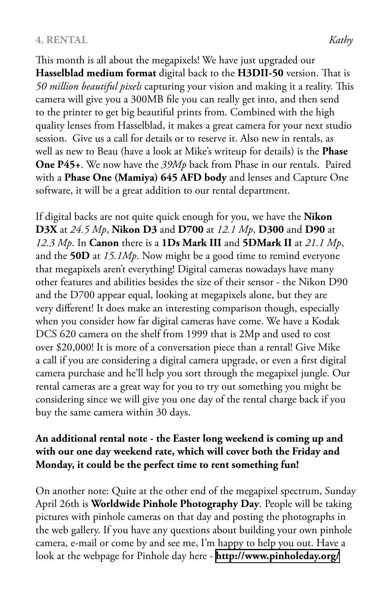#### **4. RENTAL** *Kathy*

This month is all about the megapixels! We have just upgraded our **Hasselblad medium format** digital back to the **H3DII-50** version. That is *50 million beautiful pixels* capturing your vision and making it a reality. This camera will give you a 300MB file you can really get into, and then send to the printer to get big beautiful prints from. Combined with the high quality lenses from Hasselblad, it makes a great camera for your next studio session. Give us a call for details or to reserve it. Also new in rentals, as well as new to Beau (have a look at Mike's writeup for details) is the **Phase One P45+**. We now have the *39Mp* back from Phase in our rentals. Paired with a **Phase One (Mamiya) 645 AFD body** and lenses and Capture One software, it will be a great addition to our rental department.

If digital backs are not quite quick enough for you, we have the **Nikon D3X** at *24.5 Mp*, **Nikon D3** and **D700** at *12.1 Mp*, **D300** and **D90** at *12.3 Mp*. In **Canon** there is a **1Ds Mark III** and **5DMark II** at *21.1 Mp*, and the **50D** at *15.1Mp*. Now might be a good time to remind everyone that megapixels aren't everything! Digital cameras nowadays have many other features and abilities besides the size of their sensor - the Nikon D90 and the D700 appear equal, looking at megapixels alone, but they are very different! It does make an interesting comparison though, especially when you consider how far digital cameras have come. We have a Kodak DCS 620 camera on the shelf from 1999 that is 2Mp and used to cost over \$20,000! It is more of a conversation piece than a rental! Give Mike a call if you are considering a digital camera upgrade, or even a first digital camera purchase and he'll help you sort through the megapixel jungle. Our rental cameras are a great way for you to try out something you might be considering since we will give you one day of the rental charge back if you buy the same camera within 30 days.

### **An additional rental note - the Easter long weekend is coming up and with our one day weekend rate, which will cover both the Friday and Monday, it could be the perfect time to rent something fun!**

On another note: Quite at the other end of the megapixel spectrum, Sunday April 26th is **Worldwide Pinhole Photography Day**. People will be taking pictures with pinhole cameras on that day and posting the photographs in the web gallery. If you have any questions about building your own pinhole camera, e-mail or come by and see me, I'm happy to help you out. Have a look at the webpage for Pinhole day here - **<http://www.pinholeday.org/>**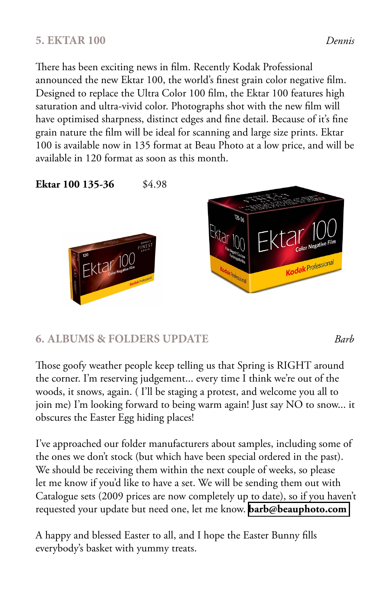## **5. EKTAR 100** *Dennis*

There has been exciting news in film. Recently Kodak Professional announced the new Ektar 100, the world's finest grain color negative film. Designed to replace the Ultra Color 100 film, the Ektar 100 features high saturation and ultra-vivid color. Photographs shot with the new film will have optimised sharpness, distinct edges and fine detail. Because of it's fine grain nature the film will be ideal for scanning and large size prints. Ektar 100 is available now in 135 format at Beau Photo at a low price, and will be available in 120 format as soon as this month.

**Ektar 100 135-36** \$4.98





## **6. ALBUMS & FOLDERS UPDATE** *Barb*

Those goofy weather people keep telling us that Spring is RIGHT around the corner. I'm reserving judgement... every time I think we're out of the woods, it snows, again. ( I'll be staging a protest, and welcome you all to join me) I'm looking forward to being warm again! Just say NO to snow... it obscures the Easter Egg hiding places!

I've approached our folder manufacturers about samples, including some of the ones we don't stock (but which have been special ordered in the past). We should be receiving them within the next couple of weeks, so please let me know if you'd like to have a set. We will be sending them out with Catalogue sets (2009 prices are now completely up to date), so if you haven't requested your update but need one, let me know. **[barb@beauphoto.com](mailto:barb@beauphoto.com )**

A happy and blessed Easter to all, and I hope the Easter Bunny fills everybody's basket with yummy treats.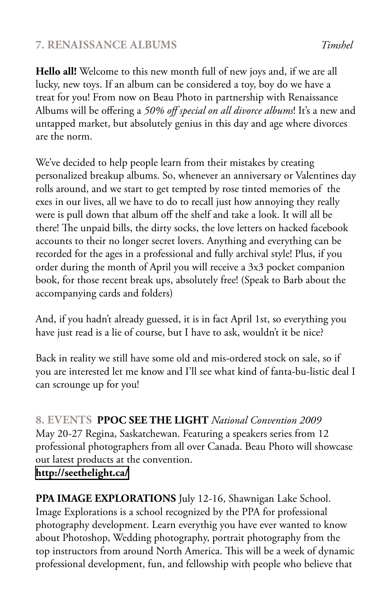# **7. RENAISSANCE ALBUMS** *Timshel*

**Hello all!** Welcome to this new month full of new joys and, if we are all lucky, new toys. If an album can be considered a toy, boy do we have a treat for you! From now on Beau Photo in partnership with Renaissance Albums will be offering a *50% off special on all divorce albums*! It's a new and untapped market, but absolutely genius in this day and age where divorces are the norm.

We've decided to help people learn from their mistakes by creating personalized breakup albums. So, whenever an anniversary or Valentines day rolls around, and we start to get tempted by rose tinted memories of the exes in our lives, all we have to do to recall just how annoying they really were is pull down that album off the shelf and take a look. It will all be there! The unpaid bills, the dirty socks, the love letters on hacked facebook accounts to their no longer secret lovers. Anything and everything can be recorded for the ages in a professional and fully archival style! Plus, if you order during the month of April you will receive a 3x3 pocket companion book, for those recent break ups, absolutely free! (Speak to Barb about the accompanying cards and folders)

And, if you hadn't already guessed, it is in fact April 1st, so everything you have just read is a lie of course, but I have to ask, wouldn't it be nice?

Back in reality we still have some old and mis-ordered stock on sale, so if you are interested let me know and I'll see what kind of fanta-bu-listic deal I can scrounge up for you!

**8. EVENTS PPOC SEE THE LIGHT** *National Convention 2009*  May 20-27 Regina, Saskatchewan. Featuring a speakers series from 12 professional photographers from all over Canada. Beau Photo will showcase out latest products at the convention.

**[http://seethelight.ca/](http://seethelight.ca/ )**

**PPA IMAGE EXPLORATIONS** July 12-16, Shawnigan Lake School. Image Explorations is a school recognized by the PPA for professional photography development. Learn everythig you have ever wanted to know about Photoshop, Wedding photography, portrait photography from the top instructors from around North America. This will be a week of dynamic professional development, fun, and fellowship with people who believe that